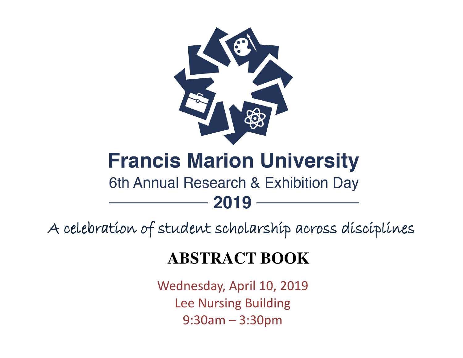

# **Francis Marion University**

## 6th Annual Research & Exhibition Day

A celebration of student scholarship across disciplines

2019

## **ABSTRACT BOOK**

Wednesday, April 10, 2019 Lee Nursing Building 9:30am – 3:30pm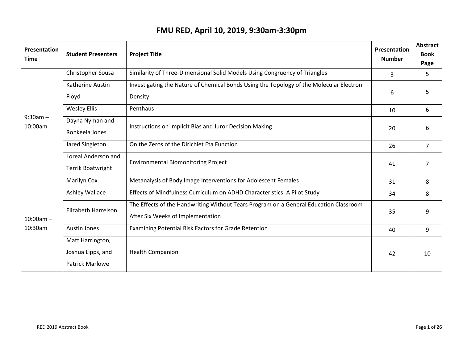| FMU RED, April 10, 2019, 9:30am-3:30pm |                                                                 |                                                                                                                            |                                      |                                        |
|----------------------------------------|-----------------------------------------------------------------|----------------------------------------------------------------------------------------------------------------------------|--------------------------------------|----------------------------------------|
| Presentation<br><b>Time</b>            | <b>Student Presenters</b>                                       | <b>Project Title</b>                                                                                                       | <b>Presentation</b><br><b>Number</b> | <b>Abstract</b><br><b>Book</b><br>Page |
| $9:30am -$<br>10:00am                  | Christopher Sousa                                               | Similarity of Three-Dimensional Solid Models Using Congruency of Triangles                                                 | 3                                    | 5.                                     |
|                                        | <b>Katherine Austin</b><br>Floyd                                | Investigating the Nature of Chemical Bonds Using the Topology of the Molecular Electron<br>Density                         | 6                                    | 5                                      |
|                                        | <b>Wesley Ellis</b>                                             | Penthaus                                                                                                                   | 10                                   | 6                                      |
|                                        | Dayna Nyman and<br>Ronkeela Jones                               | Instructions on Implicit Bias and Juror Decision Making                                                                    | 20                                   | 6                                      |
|                                        | Jared Singleton                                                 | On the Zeros of the Dirichlet Eta Function                                                                                 | 26                                   | $\overline{7}$                         |
|                                        | Loreal Anderson and<br><b>Terrik Boatwright</b>                 | <b>Environmental Biomonitoring Project</b>                                                                                 | 41                                   | 7                                      |
|                                        | <b>Marilyn Cox</b>                                              | Metanalysis of Body Image Interventions for Adolescent Females                                                             | 31                                   | 8                                      |
|                                        | <b>Ashley Wallace</b>                                           | Effects of Mindfulness Curriculum on ADHD Characteristics: A Pilot Study                                                   | 34                                   | 8                                      |
| $10:00am -$<br>10:30am                 | Elizabeth Harrelson                                             | The Effects of the Handwriting Without Tears Program on a General Education Classroom<br>After Six Weeks of Implementation | 35                                   | 9                                      |
|                                        | <b>Austin Jones</b>                                             | Examining Potential Risk Factors for Grade Retention                                                                       | 40                                   | 9                                      |
|                                        | Matt Harrington,<br>Joshua Lipps, and<br><b>Patrick Marlowe</b> | <b>Health Companion</b>                                                                                                    | 42                                   | 10                                     |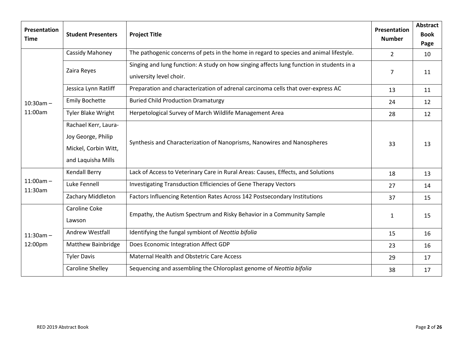| Presentation<br><b>Time</b> | <b>Student Presenters</b>                                                                | <b>Project Title</b>                                                                                                | Presentation<br><b>Number</b> | <b>Abstract</b><br><b>Book</b><br>Page |
|-----------------------------|------------------------------------------------------------------------------------------|---------------------------------------------------------------------------------------------------------------------|-------------------------------|----------------------------------------|
|                             | Cassidy Mahoney                                                                          | The pathogenic concerns of pets in the home in regard to species and animal lifestyle.                              | $2^{\circ}$                   | 10                                     |
|                             | Zaira Reyes                                                                              | Singing and lung function: A study on how singing affects lung function in students in a<br>university level choir. | 7                             | 11                                     |
|                             | Jessica Lynn Ratliff                                                                     | Preparation and characterization of adrenal carcinoma cells that over-express AC                                    | 13                            | 11                                     |
| $10:30$ am $-$              | <b>Emily Bochette</b>                                                                    | <b>Buried Child Production Dramaturgy</b>                                                                           | 24                            | 12                                     |
| 11:00am                     | <b>Tyler Blake Wright</b>                                                                | Herpetological Survey of March Wildlife Management Area                                                             | 28                            | 12                                     |
|                             | Rachael Kerr, Laura-<br>Joy George, Philip<br>Mickel, Corbin Witt,<br>and Laquisha Mills | Synthesis and Characterization of Nanoprisms, Nanowires and Nanospheres                                             | 33                            | 13                                     |
|                             | <b>Kendall Berry</b>                                                                     | Lack of Access to Veterinary Care in Rural Areas: Causes, Effects, and Solutions                                    | 18                            | 13                                     |
| $11:00am -$<br>11:30am      | Luke Fennell                                                                             | Investigating Transduction Efficiencies of Gene Therapy Vectors                                                     | 27                            | 14                                     |
|                             | Zachary Middleton                                                                        | Factors Influencing Retention Rates Across 142 Postsecondary Institutions                                           | 37                            | 15                                     |
| $11:30am -$<br>12:00pm      | Caroline Coke<br>Lawson                                                                  | Empathy, the Autism Spectrum and Risky Behavior in a Community Sample                                               | $\mathbf{1}$                  | 15                                     |
|                             | Andrew Westfall                                                                          | Identifying the fungal symbiont of Neottia bifolia                                                                  | 15                            | 16                                     |
|                             | Matthew Bainbridge                                                                       | Does Economic Integration Affect GDP                                                                                | 23                            | 16                                     |
|                             | <b>Tyler Davis</b>                                                                       | Maternal Health and Obstetric Care Access                                                                           | 29                            | 17                                     |
|                             | Caroline Shelley                                                                         | Sequencing and assembling the Chloroplast genome of Neottia bifolia                                                 | 38                            | 17                                     |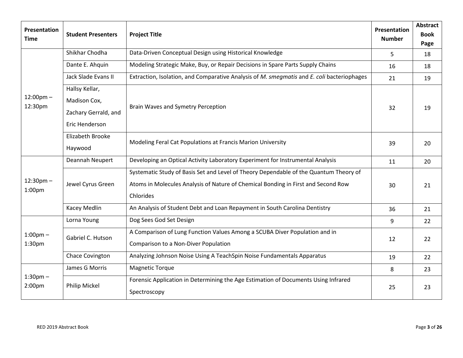| Presentation<br><b>Time</b>          | <b>Student Presenters</b>                                                | <b>Project Title</b>                                                                                                                                                                    | Presentation<br><b>Number</b> | <b>Abstract</b><br><b>Book</b><br>Page |
|--------------------------------------|--------------------------------------------------------------------------|-----------------------------------------------------------------------------------------------------------------------------------------------------------------------------------------|-------------------------------|----------------------------------------|
| $12:00 \text{pm} -$<br>12:30pm       | Shikhar Chodha                                                           | Data-Driven Conceptual Design using Historical Knowledge                                                                                                                                | 5                             | 18                                     |
|                                      | Dante E. Ahquin                                                          | Modeling Strategic Make, Buy, or Repair Decisions in Spare Parts Supply Chains                                                                                                          | 16                            | 18                                     |
|                                      | Jack Slade Evans II                                                      | Extraction, Isolation, and Comparative Analysis of M. smegmatis and E. coli bacteriophages                                                                                              | 21                            | 19                                     |
|                                      | Hallsy Kellar,<br>Madison Cox,<br>Zachary Gerrald, and<br>Eric Henderson | Brain Waves and Symetry Perception                                                                                                                                                      | 32                            | 19                                     |
|                                      | Elizabeth Brooke<br>Haywood                                              | Modeling Feral Cat Populations at Francis Marion University                                                                                                                             | 39                            | 20                                     |
|                                      | Deannah Neupert                                                          | Developing an Optical Activity Laboratory Experiment for Instrumental Analysis                                                                                                          | 11                            | 20                                     |
| $12:30$ pm $-$<br>1:00 <sub>pm</sub> | Jewel Cyrus Green                                                        | Systematic Study of Basis Set and Level of Theory Dependable of the Quantum Theory of<br>Atoms in Molecules Analysis of Nature of Chemical Bonding in First and Second Row<br>Chlorides | 30                            | 21                                     |
|                                      | Kacey Medlin                                                             | An Analysis of Student Debt and Loan Repayment in South Carolina Dentistry                                                                                                              | 36                            | 21                                     |
| $1:00$ pm $-$<br>1:30pm              | Lorna Young                                                              | Dog Sees God Set Design                                                                                                                                                                 | 9                             | 22                                     |
|                                      | Gabriel C. Hutson                                                        | A Comparison of Lung Function Values Among a SCUBA Diver Population and in<br>Comparison to a Non-Diver Population                                                                      | 12                            | 22                                     |
|                                      | Chace Covington                                                          | Analyzing Johnson Noise Using A TeachSpin Noise Fundamentals Apparatus                                                                                                                  | 19                            | 22                                     |
| $1:30$ pm $-$<br>2:00 <sub>pm</sub>  | James G Morris                                                           | <b>Magnetic Torque</b>                                                                                                                                                                  | 8                             | 23                                     |
|                                      | Philip Mickel                                                            | Forensic Application in Determining the Age Estimation of Documents Using Infrared<br>Spectroscopy                                                                                      | 25                            | 23                                     |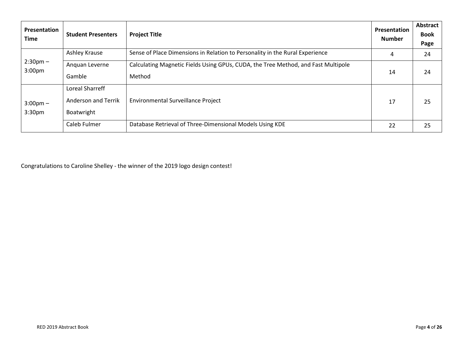| Presentation<br><b>Time</b>              | <b>Student Presenters</b>                            | <b>Project Title</b>                                                                        | <b>Presentation</b><br><b>Number</b> | Abstract<br><b>Book</b><br>Page |
|------------------------------------------|------------------------------------------------------|---------------------------------------------------------------------------------------------|--------------------------------------|---------------------------------|
| $2:30 \text{pm} -$<br>3:00 <sub>pm</sub> | Ashley Krause                                        | Sense of Place Dimensions in Relation to Personality in the Rural Experience                | 4                                    | 24                              |
|                                          | Anguan Leverne<br>Gamble                             | Calculating Magnetic Fields Using GPUs, CUDA, the Tree Method, and Fast Multipole<br>Method | 14                                   | 24                              |
| $3:00 \text{pm} -$<br>3:30 <sub>pm</sub> | Loreal Sharreff<br>Anderson and Terrik<br>Boatwright | Environmental Surveillance Project                                                          | 17                                   | 25                              |
|                                          | Caleb Fulmer                                         | Database Retrieval of Three-Dimensional Models Using KDE                                    | 22                                   | 25                              |

Congratulations to Caroline Shelley - the winner of the 2019 logo design contest!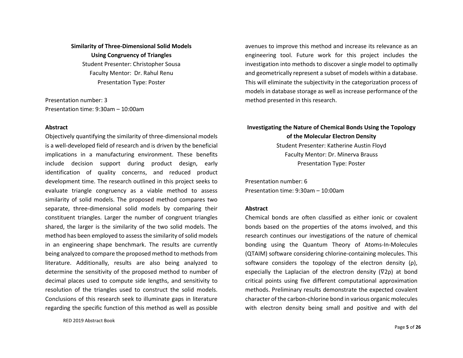## **Similarity of Three-Dimensional Solid Models Using Congruency of Triangles**

Student Presenter: Christopher Sousa Faculty Mentor: Dr. Rahul Renu Presentation Type: Poster

Presentation number: 3 Presentation time: 9:30am – 10:00am

#### **Abstract**

Objectively quantifying the similarity of three-dimensional models is a well-developed field of research and is driven by the beneficial implications in a manufacturing environment. These benefits include decision support during product design, early identification of quality concerns, and reduced product development time. The research outlined in this project seeks to evaluate triangle congruency as a viable method to assess similarity of solid models. The proposed method compares two separate, three-dimensional solid models by comparing their constituent triangles. Larger the number of congruent triangles shared, the larger is the similarity of the two solid models. The method has been employed to assess the similarity of solid models in an engineering shape benchmark. The results are currently being analyzed to compare the proposed method to methods from literature. Additionally, results are also being analyzed to determine the sensitivity of the proposed method to number of decimal places used to compute side lengths, and sensitivity to resolution of the triangles used to construct the solid models. Conclusions of this research seek to illuminate gaps in literature regarding the specific function of this method as well as possible

RED 2019 Abstract Book

avenues to improve this method and increase its relevance as an engineering tool. Future work for this project includes the investigation into methods to discover a single model to optimally and geometrically represent a subset of models within a database. This will eliminate the subjectivity in the categorization process of models in database storage as well as increase performance of the method presented in this research.

## **Investigating the Nature of Chemical Bonds Using the Topology of the Molecular Electron Density**

Student Presenter: Katherine Austin Floyd Faculty Mentor: Dr. Minerva Brauss Presentation Type: Poster

Presentation number: 6 Presentation time: 9:30am – 10:00am

#### **Abstract**

Chemical bonds are often classified as either ionic or covalent bonds based on the properties of the atoms involved, and this research continues our investigations of the nature of chemical bonding using the Quantum Theory of Atoms-In-Molecules (QTAIM) software considering chlorine-containing molecules. This software considers the topology of the electron density (ρ), especially the Laplacian of the electron density (∇2ρ) at bond critical points using five different computational approximation methods. Preliminary results demonstrate the expected covalent character of the carbon-chlorine bond in various organic molecules with electron density being small and positive and with del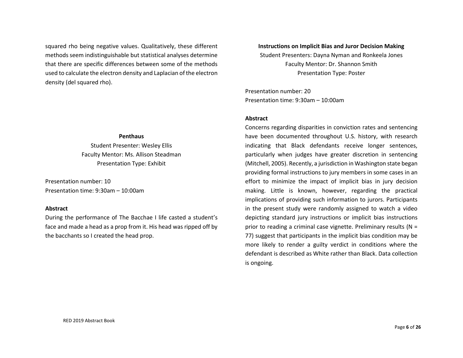squared rho being negative values. Qualitatively, these different methods seem indistinguishable but statistical analyses determine that there are specific differences between some of the methods used to calculate the electron density and Laplacian of the electron density (del squared rho).

#### **Penthaus**

Student Presenter: Wesley Ellis Faculty Mentor: Ms. Allison Steadman Presentation Type: Exhibit

Presentation number: 10 Presentation time: 9:30am – 10:00am

#### **Abstract**

During the performance of The Bacchae I life casted a student's face and made a head as a prop from it. His head was ripped off by the bacchants so I created the head prop.

**Instructions on Implicit Bias and Juror Decision Making**  Student Presenters: Dayna Nyman and Ronkeela Jones Faculty Mentor: Dr. Shannon Smith Presentation Type: Poster

Presentation number: 20 Presentation time: 9:30am – 10:00am

#### **Abstract**

Concerns regarding disparities in conviction rates and sentencing have been documented throughout U.S. history, with research indicating that Black defendants receive longer sentences, particularly when judges have greater discretion in sentencing (Mitchell, 2005). Recently, a jurisdiction in Washington state began providing formal instructions to jury members in some cases in an effort to minimize the impact of implicit bias in jury decision making. Little is known, however, regarding the practical implications of providing such information to jurors. Participants in the present study were randomly assigned to watch a video depicting standard jury instructions or implicit bias instructions prior to reading a criminal case vignette. Preliminary results (N = 77) suggest that participants in the implicit bias condition may be more likely to render a guilty verdict in conditions where the defendant is described as White rather than Black. Data collection is ongoing.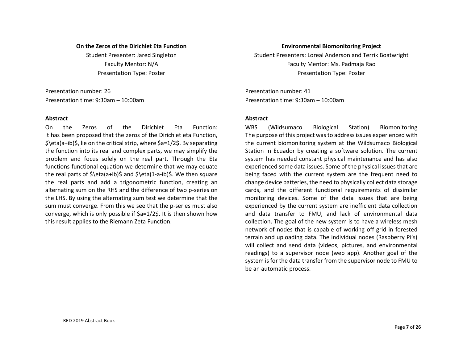#### **On the Zeros of the Dirichlet Eta Function**

Student Presenter: Jared Singleton Faculty Mentor: N/A Presentation Type: Poster

Presentation number: 26 Presentation time: 9:30am – 10:00am

#### **Abstract**

On the Zeros of the Dirichlet Eta Function: It has been proposed that the zeros of the Dirichlet eta Function, \$\eta(a+ib)\$, lie on the critical strip, where \$a=1/2\$. By separating the function into its real and complex parts, we may simplify the problem and focus solely on the real part. Through the Eta functions functional equation we determine that we may equate the real parts of  $\eta(a+i\delta)$ \$ and  $\eta(a+i\delta)$ \$. We then square the real parts and add a trigonometric function, creating an alternating sum on the RHS and the difference of two p-series on the LHS. By using the alternating sum test we determine that the sum must converge. From this we see that the p-series must also converge, which is only possible if \$a=1/2\$. It is then shown how this result applies to the Riemann Zeta Function.

#### **Environmental Biomonitoring Project**

Student Presenters: Loreal Anderson and Terrik Boatwright Faculty Mentor: Ms. Padmaja Rao Presentation Type: Poster

Presentation number: 41 Presentation time: 9:30am – 10:00am

#### **Abstract**

WBS (Wildsumaco Biological Station) Biomonitoring The purpose of this project was to address issues experienced with the current biomonitoring system at the Wildsumaco Biological Station in Ecuador by creating a software solution. The current system has needed constant physical maintenance and has also experienced some data issues. Some of the physical issues that are being faced with the current system are the frequent need to change device batteries, the need to physically collect data storage cards, and the different functional requirements of dissimilar monitoring devices. Some of the data issues that are being experienced by the current system are inefficient data collection and data transfer to FMU, and lack of environmental data collection. The goal of the new system is to have a wireless mesh network of nodes that is capable of working off grid in forested terrain and uploading data. The individual nodes (Raspberry Pi's) will collect and send data (videos, pictures, and environmental readings) to a supervisor node (web app). Another goal of the system is for the data transfer from the supervisor node to FMU to be an automatic process.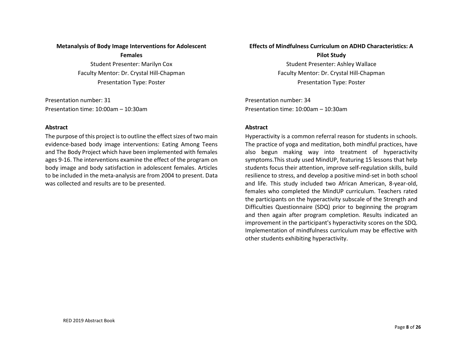#### **Metanalysis of Body Image Interventions for Adolescent**

**Females** 

Student Presenter: Marilyn Cox Faculty Mentor: Dr. Crystal Hill-Chapman Presentation Type: Poster

Presentation number: 31 Presentation time: 10:00am – 10:30am

#### **Abstract**

The purpose of this project is to outline the effect sizes of two main evidence-based body image interventions: Eating Among Teens and The Body Project which have been implemented with females ages 9-16. The interventions examine the effect of the program on body image and body satisfaction in adolescent females. Articles to be included in the meta-analysis are from 2004 to present. Data was collected and results are to be presented.

#### **Effects of Mindfulness Curriculum on ADHD Characteristics: A**

**Pilot Study**  Student Presenter: Ashley Wallace Faculty Mentor: Dr. Crystal Hill-Chapman Presentation Type: Poster

Presentation number: 34 Presentation time: 10:00am – 10:30am

#### **Abstract**

Hyperactivity is a common referral reason for students in schools. The practice of yoga and meditation, both mindful practices, have also begun making way into treatment of hyperactivity symptoms.This study used MindUP, featuring 15 lessons that help students focus their attention, improve self-regulation skills, build resilience to stress, and develop a positive mind-set in both school and life. This study included two African American, 8-year-old, females who completed the MindUP curriculum. Teachers rated the participants on the hyperactivity subscale of the Strength and Difficulties Questionnaire (SDQ) prior to beginning the program and then again after program completion. Results indicated an improvement in the participant's hyperactivity scores on the SDQ. Implementation of mindfulness curriculum may be effective with other students exhibiting hyperactivity.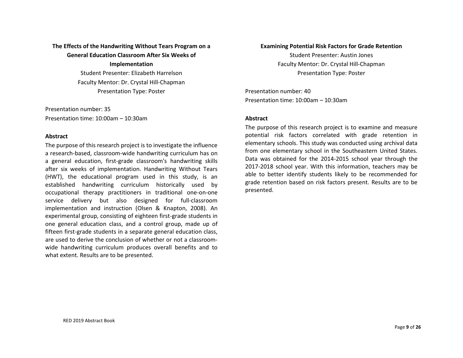## **The Effects of the Handwriting Without Tears Program on a General Education Classroom After Six Weeks of Implementation**

Student Presenter: Elizabeth Harrelson Faculty Mentor: Dr. Crystal Hill-Chapman Presentation Type: Poster

Presentation number: 35 Presentation time: 10:00am – 10:30am

#### **Abstract**

The purpose of this research project is to investigate the influence a research-based, classroom-wide handwriting curriculum has on a general education, first-grade classroom's handwriting skills after six weeks of implementation. Handwriting Without Tears (HWT), the educational program used in this study, is an established handwriting curriculum historically used by occupational therapy practitioners in traditional one-on-one service delivery but also designed for full-classroom implementation and instruction (Olsen & Knapton, 2008). An experimental group, consisting of eighteen first-grade students in one general education class, and a control group, made up of fifteen first-grade students in a separate general education class, are used to derive the conclusion of whether or not a classroomwide handwriting curriculum produces overall benefits and to what extent. Results are to be presented.

#### **Examining Potential Risk Factors for Grade Retention**

Student Presenter: Austin Jones Faculty Mentor: Dr. Crystal Hill-Chapman Presentation Type: Poster

Presentation number: 40 Presentation time: 10:00am – 10:30am

#### **Abstract**

The purpose of this research project is to examine and measure potential risk factors correlated with grade retention in elementary schools. This study was conducted using archival data from one elementary school in the Southeastern United States. Data was obtained for the 2014-2015 school year through the 2017-2018 school year. With this information, teachers may be able to better identify students likely to be recommended for grade retention based on risk factors present. Results are to be presented.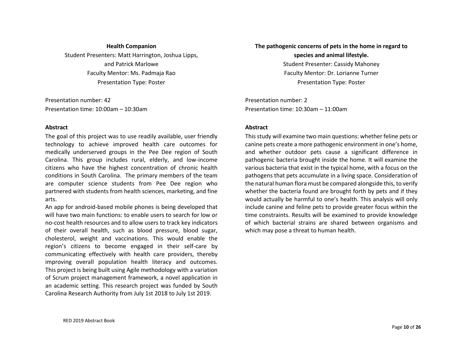#### **Health Companion**

Student Presenters: Matt Harrington, Joshua Lipps, and Patrick Marlowe Faculty Mentor: Ms. Padmaja Rao Presentation Type: Poster

Presentation number: 42 Presentation time: 10:00am – 10:30am

#### **Abstract**

The goal of this project was to use readily available, user friendly technology to achieve improved health care outcomes for medically underserved groups in the Pee Dee region of South Carolina. This group includes rural, elderly, and low-income citizens who have the highest concentration of chronic health conditions in South Carolina. The primary members of the team are computer science students from Pee Dee region who partnered with students from health sciences, marketing, and fine arts.

An app for android-based mobile phones is being developed that will have two main functions: to enable users to search for low or no-cost health resources and to allow users to track key indicators of their overall health, such as blood pressure, blood sugar, cholesterol, weight and vaccinations. This would enable the region's citizens to become engaged in their self-care by communicating effectively with health care providers, thereby improving overall population health literacy and outcomes. This project is being built using Agile methodology with a variation of Scrum project management framework, a novel application in an academic setting. This research project was funded by South Carolina Research Authority from July 1st 2018 to July 1st 2019.

## **The pathogenic concerns of pets in the home in regard to species and animal lifestyle.**  Student Presenter: Cassidy Mahoney

Faculty Mentor: Dr. Lorianne Turner Presentation Type: Poster

Presentation number: 2 Presentation time: 10:30am – 11:00am

#### **Abstract**

This study will examine two main questions: whether feline pets or canine pets create a more pathogenic environment in one's home, and whether outdoor pets cause a significant difference in pathogenic bacteria brought inside the home. It will examine the various bacteria that exist in the typical home, with a focus on the pathogens that pets accumulate in a living space. Consideration of the natural human flora must be compared alongside this, to verify whether the bacteria found are brought forth by pets and if they would actually be harmful to one's health. This analysis will only include canine and feline pets to provide greater focus within the time constraints. Results will be examined to provide knowledge of which bacterial strains are shared between organisms and which may pose a threat to human health.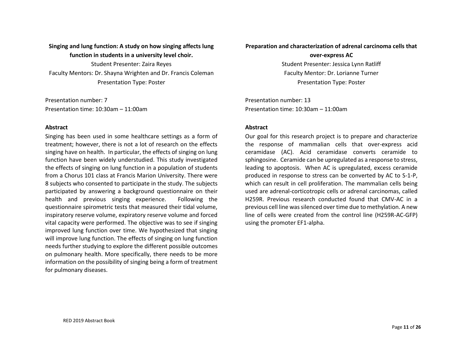## **Singing and lung function: A study on how singing affects lung function in students in a university level choir.**  Student Presenter: Zaira Reyes

Faculty Mentors: Dr. Shayna Wrighten and Dr. Francis Coleman Presentation Type: Poster

Presentation number: 7 Presentation time: 10:30am – 11:00am

#### **Abstract**

Singing has been used in some healthcare settings as a form of treatment; however, there is not a lot of research on the effects singing have on health. In particular, the effects of singing on lung function have been widely understudied. This study investigated the effects of singing on lung function in a population of students from a Chorus 101 class at Francis Marion University. There were 8 subjects who consented to participate in the study. The subjects participated by answering a background questionnaire on their health and previous singing experience. Following the questionnaire spirometric tests that measured their tidal volume, inspiratory reserve volume, expiratory reserve volume and forced vital capacity were performed. The objective was to see if singing improved lung function over time. We hypothesized that singing will improve lung function. The effects of singing on lung function needs further studying to explore the different possible outcomes on pulmonary health. More specifically, there needs to be more information on the possibility of singing being a form of treatment for pulmonary diseases.

#### **Preparation and characterization of adrenal carcinoma cells that**

#### **over-express AC**

Student Presenter: Jessica Lynn Ratliff Faculty Mentor: Dr. Lorianne Turner Presentation Type: Poster

Presentation number: 13 Presentation time: 10:30am – 11:00am

#### **Abstract**

Our goal for this research project is to prepare and characterize the response of mammalian cells that over-express acid ceramidase (AC). Acid ceramidase converts ceramide to sphingosine. Ceramide can be upregulated as a response to stress, leading to apoptosis. When AC is upregulated, excess ceramide produced in response to stress can be converted by AC to S-1-P, which can result in cell proliferation. The mammalian cells being used are adrenal-corticotropic cells or adrenal carcinomas, called H259R. Previous research conducted found that CMV-AC in a previous cell line was silenced over time due to methylation. A new line of cells were created from the control line (H259R-AC-GFP) using the promoter EF1-alpha.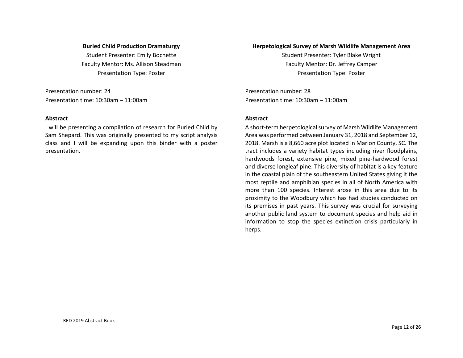#### **Buried Child Production Dramaturgy**

Student Presenter: Emily Bochette Faculty Mentor: Ms. Allison Steadman Presentation Type: Poster

Presentation number: 24 Presentation time: 10:30am – 11:00am

#### **Abstract**

I will be presenting a compilation of research for Buried Child by Sam Shepard. This was originally presented to my script analysis class and I will be expanding upon this binder with a poster presentation.

#### **Herpetological Survey of Marsh Wildlife Management Area**

Student Presenter: Tyler Blake Wright Faculty Mentor: Dr. Jeffrey Camper Presentation Type: Poster

Presentation number: 28 Presentation time: 10:30am – 11:00am

#### **Abstract**

A short-term herpetological survey of Marsh Wildlife Management Area was performed between January 31, 2018 and September 12, 2018. Marsh is a 8,660 acre plot located in Marion County, SC. The tract includes a variety habitat types including river floodplains, hardwoods forest, extensive pine, mixed pine-hardwood forest and diverse longleaf pine. This diversity of habitat is a key feature in the coastal plain of the southeastern United States giving it the most reptile and amphibian species in all of North America with more than 100 species. Interest arose in this area due to its proximity to the Woodbury which has had studies conducted on its premises in past years. This survey was crucial for surveying another public land system to document species and help aid in information to stop the species extinction crisis particularly in herps.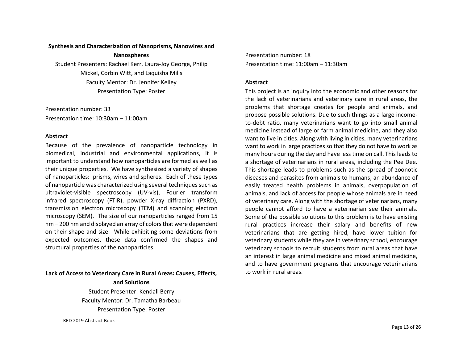#### **Synthesis and Characterization of Nanoprisms, Nanowires and**

**Nanospheres** 

Student Presenters: Rachael Kerr, Laura-Joy George, Philip Mickel, Corbin Witt, and Laquisha Mills Faculty Mentor: Dr. Jennifer Kelley Presentation Type: Poster

Presentation number: 33 Presentation time: 10:30am – 11:00am

#### **Abstract**

Because of the prevalence of nanoparticle technology in biomedical, industrial and environmental applications, it is important to understand how nanoparticles are formed as well as their unique properties. We have synthesized a variety of shapes of nanoparticles: prisms, wires and spheres. Each of these types of nanoparticle was characterized using several techniques such as ultraviolet-visible spectroscopy (UV-vis), Fourier transform infrared spectroscopy (FTIR), powder X-ray diffraction (PXRD), transmission electron microscopy (TEM) and scanning electron microscopy (SEM). The size of our nanoparticles ranged from 15 nm – 200 nm and displayed an array of colors that were dependent on their shape and size. While exhibiting some deviations from expected outcomes, these data confirmed the shapes and structural properties of the nanoparticles.

#### **Lack of Access to Veterinary Care in Rural Areas: Causes, Effects,**

**and Solutions**  Student Presenter: Kendall Berry Faculty Mentor: Dr. Tamatha Barbeau Presentation Type: Poster

RED 2019 Abstract Book

Presentation number: 18 Presentation time: 11:00am – 11:30am

#### **Abstract**

This project is an inquiry into the economic and other reasons for the lack of veterinarians and veterinary care in rural areas, the problems that shortage creates for people and animals, and propose possible solutions. Due to such things as a large incometo-debt ratio, many veterinarians want to go into small animal medicine instead of large or farm animal medicine, and they also want to live in cities. Along with living in cities, many veterinarians want to work in large practices so that they do not have to work as many hours during the day and have less time on call. This leads to a shortage of veterinarians in rural areas, including the Pee Dee. This shortage leads to problems such as the spread of zoonotic diseases and parasites from animals to humans, an abundance of easily treated health problems in animals, overpopulation of animals, and lack of access for people whose animals are in need of veterinary care. Along with the shortage of veterinarians, many people cannot afford to have a veterinarian see their animals. Some of the possible solutions to this problem is to have existing rural practices increase their salary and benefits of new veterinarians that are getting hired, have lower tuition for veterinary students while they are in veterinary school, encourage veterinary schools to recruit students from rural areas that have an interest in large animal medicine and mixed animal medicine, and to have government programs that encourage veterinarians to work in rural areas.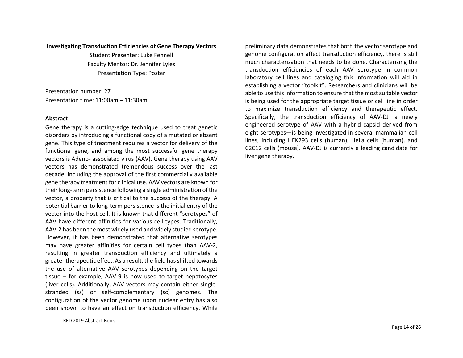#### **Investigating Transduction Efficiencies of Gene Therapy Vectors**

Student Presenter: Luke Fennell Faculty Mentor: Dr. Jennifer Lyles Presentation Type: Poster

Presentation number: 27 Presentation time: 11:00am – 11:30am

#### **Abstract**

Gene therapy is a cutting-edge technique used to treat genetic disorders by introducing a functional copy of a mutated or absent gene. This type of treatment requires a vector for delivery of the functional gene, and among the most successful gene therapy vectors is Adeno- associated virus (AAV). Gene therapy using AAV vectors has demonstrated tremendous success over the last decade, including the approval of the first commercially available gene therapy treatment for clinical use. AAV vectors are known for their long-term persistence following a single administration of the vector, a property that is critical to the success of the therapy. A potential barrier to long-term persistence is the initial entry of the vector into the host cell. It is known that different "serotypes" of AAV have different affinities for various cell types. Traditionally, AAV-2 has been the most widely used and widely studied serotype. However, it has been demonstrated that alternative serotypes may have greater affinities for certain cell types than AAV-2, resulting in greater transduction efficiency and ultimately a greater therapeutic effect. As a result, the field has shifted towards the use of alternative AAV serotypes depending on the target tissue – for example, AAV-9 is now used to target hepatocytes (liver cells). Additionally, AAV vectors may contain either singlestranded (ss) or self-complementary (sc) genomes. The configuration of the vector genome upon nuclear entry has also been shown to have an effect on transduction efficiency. While

RED 2019 Abstract Book

preliminary data demonstrates that both the vector serotype and genome configuration affect transduction efficiency, there is still much characterization that needs to be done. Characterizing the transduction efficiencies of each AAV serotype in common laboratory cell lines and cataloging this information will aid in establishing a vector "toolkit". Researchers and clinicians will be able to use this information to ensure that the most suitable vector is being used for the appropriate target tissue or cell line in order to maximize transduction efficiency and therapeutic effect. Specifically, the transduction efficiency of AAV-DJ—a newly engineered serotype of AAV with a hybrid capsid derived from eight serotypes—is being investigated in several mammalian cell lines, including HEK293 cells (human), HeLa cells (human), and C2C12 cells (mouse). AAV-DJ is currently a leading candidate for liver gene therapy.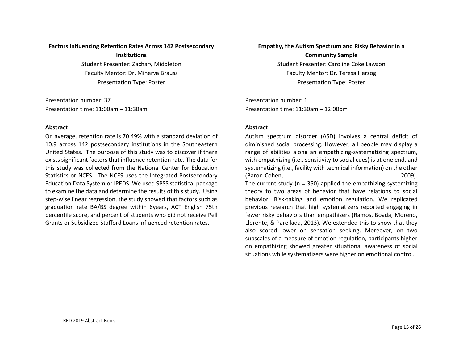#### **Factors Influencing Retention Rates Across 142 Postsecondary**

**Institutions**  Student Presenter: Zachary Middleton Faculty Mentor: Dr. Minerva Brauss Presentation Type: Poster

Presentation number: 37 Presentation time: 11:00am – 11:30am

#### **Abstract**

On average, retention rate is 70.49% with a standard deviation of 10.9 across 142 postsecondary institutions in the Southeastern United States. The purpose of this study was to discover if there exists significant factors that influence retention rate. The data for this study was collected from the National Center for Education Statistics or NCES. The NCES uses the Integrated Postsecondary Education Data System or IPEDS. We used SPSS statistical package to examine the data and determine the results of this study. Using step-wise linear regression, the study showed that factors such as graduation rate BA/BS degree within 6years, ACT English 75th percentile score, and percent of students who did not receive Pell Grants or Subsidized Stafford Loans influenced retention rates.

#### **Empathy, the Autism Spectrum and Risky Behavior in a**

**Community Sample**  Student Presenter: Caroline Coke Lawson Faculty Mentor: Dr. Teresa Herzog Presentation Type: Poster

Presentation number: 1 Presentation time: 11:30am – 12:00pm

#### **Abstract**

Autism spectrum disorder (ASD) involves a central deficit of diminished social processing. However, all people may display a range of abilities along an empathizing-systematizing spectrum, with empathizing (i.e., sensitivity to social cues) is at one end, and systematizing (i.e., facility with technical information) on the other (Baron-Cohen, 2009).

The current study ( $n = 350$ ) applied the empathizing-systemizing theory to two areas of behavior that have relations to social behavior: Risk-taking and emotion regulation. We replicated previous research that high systematizers reported engaging in fewer risky behaviors than empathizers (Ramos, Boada, Moreno, Llorente, & Parellada, 2013). We extended this to show that they also scored lower on sensation seeking. Moreover, on two subscales of a measure of emotion regulation, participants higher on empathizing showed greater situational awareness of social situations while systematizers were higher on emotional control.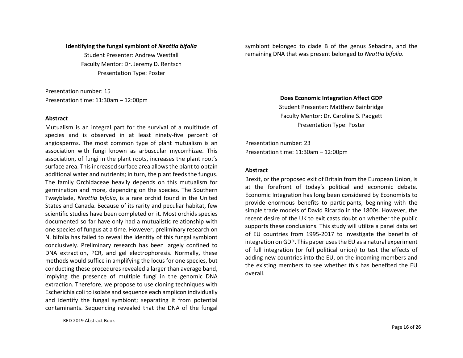#### **Identifying the fungal symbiont of** *Neottia bifolia*

Student Presenter: Andrew Westfall Faculty Mentor: Dr. Jeremy D. Rentsch Presentation Type: Poster

Presentation number: 15 Presentation time: 11:30am – 12:00pm

#### **Abstract**

Mutualism is an integral part for the survival of a multitude of species and is observed in at least ninety-five percent of angiosperms. The most common type of plant mutualism is an association with fungi known as arbuscular mycorrhizae. This association, of fungi in the plant roots, increases the plant root's surface area. This increased surface area allows the plant to obtain additional water and nutrients; in turn, the plant feeds the fungus. The family Orchidaceae heavily depends on this mutualism for germination and more, depending on the species. The Southern Twayblade, *Neottia bifolia*, is a rare orchid found in the United States and Canada. Because of its rarity and peculiar habitat, few scientific studies have been completed on it. Most orchids species documented so far have only had a mutualistic relationship with one species of fungus at a time. However, preliminary research on N. bifolia has failed to reveal the identity of this fungal symbiont conclusively. Preliminary research has been largely confined to DNA extraction, PCR, and gel electrophoresis. Normally, these methods would suffice in amplifying the locus for one species, but conducting these procedures revealed a larger than average band, implying the presence of multiple fungi in the genomic DNA extraction. Therefore, we propose to use cloning techniques with Escherichia coli to isolate and sequence each amplicon individually and identify the fungal symbiont; separating it from potential contaminants. Sequencing revealed that the DNA of the fungal

symbiont belonged to clade B of the genus Sebacina, and the remaining DNA that was present belonged to *Neottia bifolia*.

> **Does Economic Integration Affect GDP**  Student Presenter: Matthew Bainbridge Faculty Mentor: Dr. Caroline S. Padgett Presentation Type: Poster

Presentation number: 23 Presentation time: 11:30am – 12:00pm

#### **Abstract**

Brexit, or the proposed exit of Britain from the European Union, is at the forefront of today's political and economic debate. Economic Integration has long been considered by Economists to provide enormous benefits to participants, beginning with the simple trade models of David Ricardo in the 1800s. However, the recent desire of the UK to exit casts doubt on whether the public supports these conclusions. This study will utilize a panel data set of EU countries from 1995-2017 to investigate the benefits of integration on GDP. This paper uses the EU as a natural experiment of full integration (or full political union) to test the effects of adding new countries into the EU, on the incoming members and the existing members to see whether this has benefited the EU overall.

RED 2019 Abstract Book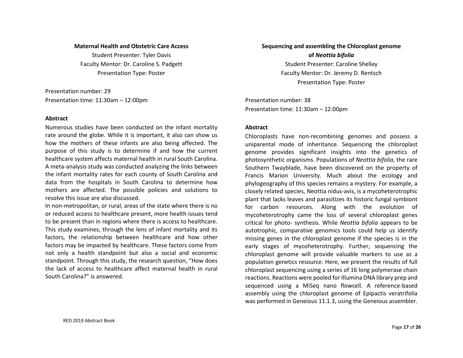#### **Maternal Health and Obstetric Care Access**

Student Presenter: Tyler Davis Faculty Mentor: Dr. Caroline S. Padgett Presentation Type: Poster

Presentation number: 29 Presentation time: 11:30am – 12:00pm

#### **Abstract**

Numerous studies have been conducted on the infant mortality rate around the globe. While it is important, it also can show us how the mothers of these infants are also being affected. The purpose of this study is to determine if and how the current healthcare system affects maternal health in rural South Carolina. A meta-analysis study was conducted analyzing the links between the infant mortality rates for each county of South Carolina and data from the hospitals in South Carolina to determine how mothers are affected. The possible policies and solutions to resolve this issue are also discussed.

In non-metropolitan, or rural, areas of the state where there is no or reduced access to healthcare present, more health issues tend to be present than in regions where there is access to healthcare. This study examines, through the lens of infant mortality and its factors, the relationship between healthcare and how other factors may be impacted by healthcare. These factors come from not only a health standpoint but also a social and economic standpoint. Through this study, the research question, "How does the lack of access to healthcare affect maternal health in rural South Carolina?" is answered.

## **Sequencing and assembling the Chloroplast genome of** *Neottia bifolia* Student Presenter: Caroline Shelley Faculty Mentor: Dr. Jeremy D. Rentsch Presentation Type: Poster

Presentation number: 38 Presentation time: 11:30am – 12:00pm

#### **Abstract**

Chloroplasts have non-recombining genomes and possess a uniparental mode of inheritance. Sequencing the chloroplast genome provides significant insights into the genetics of photosynthetic organisms. Populations of *Neottia bifolia*, the rare Southern Twayblade, have been discovered on the property of Francis Marion University. Much about the ecology and phylogeography of this species remains a mystery. For example, a closely related species, Neottia nidus-avis, is a mycoheterotrophic plant that lacks leaves and parasitizes its historic fungal symbiont for carbon resources. Along with the evolution of mycoheterotrophy came the loss of several chloroplast genes critical for photo- synthesis. While *Neottia bifolia* appears to be autotrophic, comparative genomics tools could help us identify missing genes in the chloroplast genome if the species is in the early stages of mycoheterotrophy. Further, sequencing the chloroplast genome will provide valuable markers to use as a population genetics resource. Here, we present the results of full chloroplast sequencing using a series of 16 long polymerase chain reactions. Reactions were pooled for Illumina DNA library prep and sequenced using a MiSeq nano flowcell. A reference-based assembly using the chloroplast genome of Epipactis veratrifolia was performed in Geneious 11.1.3, using the Geneious assembler.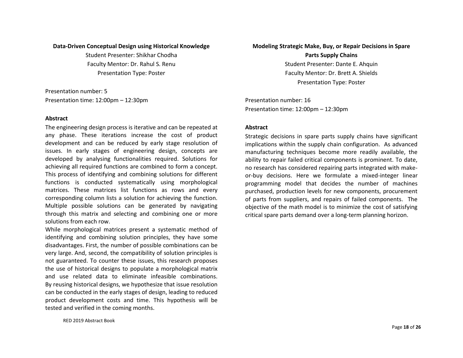#### **Data-Driven Conceptual Design using Historical Knowledge**

Student Presenter: Shikhar Chodha Faculty Mentor: Dr. Rahul S. Renu Presentation Type: Poster

Presentation number: 5 Presentation time: 12:00pm – 12:30pm

#### **Abstract**

The engineering design process is iterative and can be repeated at any phase. These iterations increase the cost of product development and can be reduced by early stage resolution of issues. In early stages of engineering design, concepts are developed by analysing functionalities required. Solutions for achieving all required functions are combined to form a concept. This process of identifying and combining solutions for different functions is conducted systematically using morphological matrices. These matrices list functions as rows and every corresponding column lists a solution for achieving the function. Multiple possible solutions can be generated by navigating through this matrix and selecting and combining one or more solutions from each row.

While morphological matrices present a systematic method of identifying and combining solution principles, they have some disadvantages. First, the number of possible combinations can be very large. And, second, the compatibility of solution principles is not guaranteed. To counter these issues, this research proposes the use of historical designs to populate a morphological matrix and use related data to eliminate infeasible combinations. By reusing historical designs, we hypothesize that issue resolution can be conducted in the early stages of design, leading to reduced product development costs and time. This hypothesis will be tested and verified in the coming months.

## **Modeling Strategic Make, Buy, or Repair Decisions in Spare**

**Parts Supply Chains**  Student Presenter: Dante E. Ahquin Faculty Mentor: Dr. Brett A. Shields Presentation Type: Poster

Presentation number: 16 Presentation time: 12:00pm – 12:30pm

#### **Abstract**

Strategic decisions in spare parts supply chains have significant implications within the supply chain configuration. As advanced manufacturing techniques become more readily available, the ability to repair failed critical components is prominent. To date, no research has considered repairing parts integrated with makeor-buy decisions. Here we formulate a mixed-integer linear programming model that decides the number of machines purchased, production levels for new components, procurement of parts from suppliers, and repairs of failed components. The objective of the math model is to minimize the cost of satisfying critical spare parts demand over a long-term planning horizon.

RED 2019 Abstract Book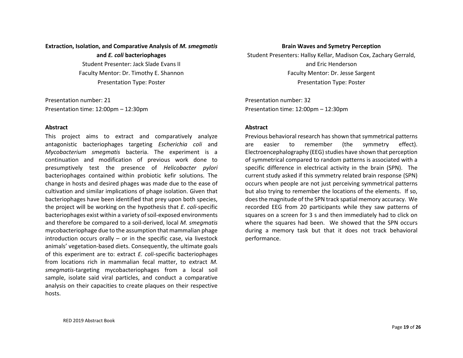## **Extraction, Isolation, and Comparative Analysis of** *M. smegmatis*

**and** *E. coli* **bacteriophages**  Student Presenter: Jack Slade Evans II Faculty Mentor: Dr. Timothy E. Shannon Presentation Type: Poster

Presentation number: 21 Presentation time: 12:00pm – 12:30pm

#### **Abstract**

This project aims to extract and comparatively analyze antagonistic bacteriophages targeting *Escherichia coli* and *Mycobacterium smegmatis* bacteria. The experiment is a continuation and modification of previous work done to presumptively test the presence of *Helicobacter pylori* bacteriophages contained within probiotic kefir solutions. The change in hosts and desired phages was made due to the ease of cultivation and similar implications of phage isolation. Given that bacteriophages have been identified that prey upon both species, the project will be working on the hypothesis that *E. coli*-specific bacteriophages exist within a variety of soil-exposed environments and therefore be compared to a soil-derived, local *M. smegmatis* mycobacteriophage due to the assumption that mammalian phage introduction occurs orally  $-$  or in the specific case, via livestock animals' vegetation-based diets. Consequently, the ultimate goals of this experiment are to: extract *E. coli*-specific bacteriophages from locations rich in mammalian fecal matter, to extract *M. smegmatis*-targeting mycobacteriophages from a local soil sample, isolate said viral particles, and conduct a comparative analysis on their capacities to create plaques on their respective hosts.

#### **Brain Waves and Symetry Perception**

Student Presenters: Hallsy Kellar, Madison Cox, Zachary Gerrald, and Eric Henderson Faculty Mentor: Dr. Jesse Sargent Presentation Type: Poster

Presentation number: 32 Presentation time: 12:00pm – 12:30pm

#### **Abstract**

Previous behavioral research has shown that symmetrical patterns are easier to remember (the symmetry effect). Electroencephalography (EEG) studies have shown that perception of symmetrical compared to random patterns is associated with a specific difference in electrical activity in the brain (SPN). The current study asked if this symmetry related brain response (SPN) occurs when people are not just perceiving symmetrical patterns but also trying to remember the locations of the elements. If so, does the magnitude of the SPN track spatial memory accuracy. We recorded EEG from 20 participants while they saw patterns of squares on a screen for 3 s and then immediately had to click on where the squares had been. We showed that the SPN occurs during a memory task but that it does not track behavioral performance.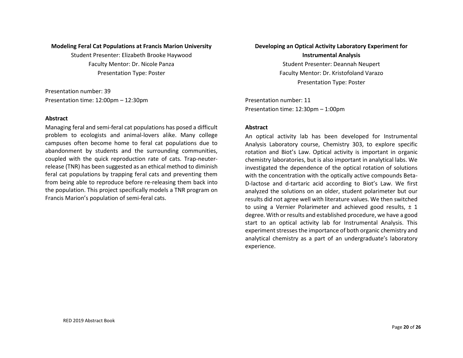#### **Modeling Feral Cat Populations at Francis Marion University**

Student Presenter: Elizabeth Brooke Haywood Faculty Mentor: Dr. Nicole Panza Presentation Type: Poster

Presentation number: 39 Presentation time: 12:00pm – 12:30pm

#### **Abstract**

Managing feral and semi-feral cat populations has posed a difficult problem to ecologists and animal-lovers alike. Many college campuses often become home to feral cat populations due to abandonment by students and the surrounding communities, coupled with the quick reproduction rate of cats. Trap-neuterrelease (TNR) has been suggested as an ethical method to diminish feral cat populations by trapping feral cats and preventing them from being able to reproduce before re-releasing them back into the population. This project specifically models a TNR program on Francis Marion's population of semi-feral cats.

## **Developing an Optical Activity Laboratory Experiment for Instrumental Analysis**

Student Presenter: Deannah Neupert Faculty Mentor: Dr. Kristofoland Varazo Presentation Type: Poster

Presentation number: 11 Presentation time: 12:30pm – 1:00pm

#### **Abstract**

An optical activity lab has been developed for Instrumental Analysis Laboratory course, Chemistry 303, to explore specific rotation and Biot's Law. Optical activity is important in organic chemistry laboratories, but is also important in analytical labs. We investigated the dependence of the optical rotation of solutions with the concentration with the optically active compounds Beta-D-lactose and d-tartaric acid according to Biot's Law. We first analyzed the solutions on an older, student polarimeter but our results did not agree well with literature values. We then switched to using a Vernier Polarimeter and achieved good results,  $\pm$  1 degree. With or results and established procedure, we have a good start to an optical activity lab for Instrumental Analysis. This experiment stresses the importance of both organic chemistry and analytical chemistry as a part of an undergraduate's laboratory experience.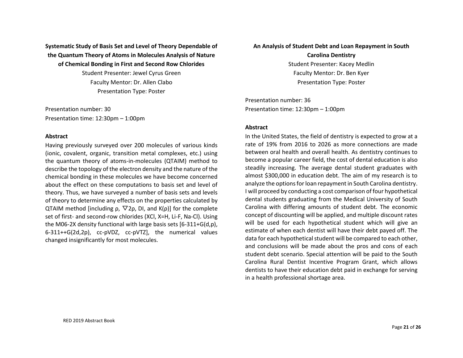**Systematic Study of Basis Set and Level of Theory Dependable of the Quantum Theory of Atoms in Molecules Analysis of Nature of Chemical Bonding in First and Second Row Chlorides** 

> Student Presenter: Jewel Cyrus Green Faculty Mentor: Dr. Allen Clabo Presentation Type: Poster

Presentation number: 30 Presentation time: 12:30pm – 1:00pm

#### **Abstract**

Having previously surveyed over 200 molecules of various kinds (ionic, covalent, organic, transition metal complexes, etc.) using the quantum theory of atoms-in-molecules (QTAIM) method to describe the topology of the electron density and the nature of the chemical bonding in these molecules we have become concerned about the effect on these computations to basis set and level of theory. Thus, we have surveyed a number of basis sets and levels of theory to determine any effects on the properties calculated by QTAIM method [including  $ρ$ ,  $∇$ 2 $ρ$ , DI, and K( $ρ$ )] for the complete set of first- and second-row chlorides (XCl, X=H, Li-F, Na-Cl). Using the M06-2X density functional with large basis sets [6-311+G(d,p), 6-311++G(2d,2p), cc-pVDZ, cc-pVTZ], the numerical values changed insignificantly for most molecules.

## **An Analysis of Student Debt and Loan Repayment in South**

**Carolina Dentistry**  Student Presenter: Kacey Medlin Faculty Mentor: Dr. Ben Kyer Presentation Type: Poster

Presentation number: 36 Presentation time: 12:30pm – 1:00pm

#### **Abstract**

In the United States, the field of dentistry is expected to grow at a rate of 19% from 2016 to 2026 as more connections are made between oral health and overall health. As dentistry continues to become a popular career field, the cost of dental education is also steadily increasing. The average dental student graduates with almost \$300,000 in education debt. The aim of my research is to analyze the options for loan repayment in South Carolina dentistry. I will proceed by conducting a cost comparison of four hypothetical dental students graduating from the Medical University of South Carolina with differing amounts of student debt. The economic concept of discounting will be applied, and multiple discount rates will be used for each hypothetical student which will give an estimate of when each dentist will have their debt payed off. The data for each hypothetical student will be compared to each other, and conclusions will be made about the pros and cons of each student debt scenario. Special attention will be paid to the South Carolina Rural Dentist Incentive Program Grant, which allows dentists to have their education debt paid in exchange for serving in a health professional shortage area.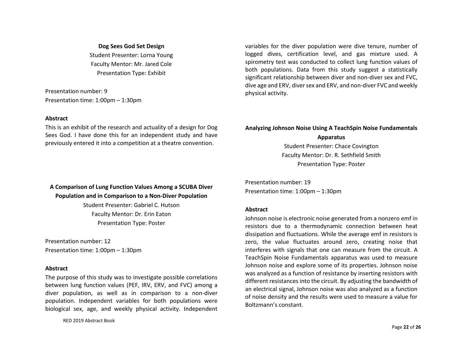#### **Dog Sees God Set Design**

Student Presenter: Lorna Young Faculty Mentor: Mr. Jared Cole Presentation Type: Exhibit

Presentation number: 9 Presentation time: 1:00pm – 1:30pm

#### **Abstract**

This is an exhibit of the research and actuality of a design for Dog Sees God. I have done this for an independent study and have previously entered it into a competition at a theatre convention.

variables for the diver population were dive tenure, number of logged dives, certification level, and gas mixture used. A spirometry test was conducted to collect lung function values of both populations. Data from this study suggest a statistically significant relationship between diver and non-diver sex and FVC, dive age and ERV, diver sex and ERV, and non-diver FVC and weekly physical activity.

## **Analyzing Johnson Noise Using A TeachSpin Noise Fundamentals**

**Apparatus** 

Student Presenter: Chace Covington Faculty Mentor: Dr. R. Sethfield Smith Presentation Type: Poster

Presentation number: 19 Presentation time: 1:00pm – 1:30pm

#### **Abstract**

Johnson noise is electronic noise generated from a nonzero emf in resistors due to a thermodynamic connection between heat dissipation and fluctuations. While the average emf in resistors is zero, the value fluctuates around zero, creating noise that interferes with signals that one can measure from the circuit. A TeachSpin Noise Fundamentals apparatus was used to measure Johnson noise and explore some of its properties. Johnson noise was analyzed as a function of resistance by inserting resistors with different resistances into the circuit. By adjusting the bandwidth of an electrical signal, Johnson noise was also analyzed as a function of noise density and the results were used to measure a value for Boltzmann's constant.

## **A Comparison of Lung Function Values Among a SCUBA Diver Population and in Comparison to a Non-Diver Population**

Student Presenter: Gabriel C. Hutson Faculty Mentor: Dr. Erin Eaton Presentation Type: Poster

Presentation number: 12 Presentation time: 1:00pm – 1:30pm

#### **Abstract**

The purpose of this study was to investigate possible correlations between lung function values (PEF, IRV, ERV, and FVC) among a diver population, as well as in comparison to a non-diver population. Independent variables for both populations were biological sex, age, and weekly physical activity. Independent

RED 2019 Abstract Book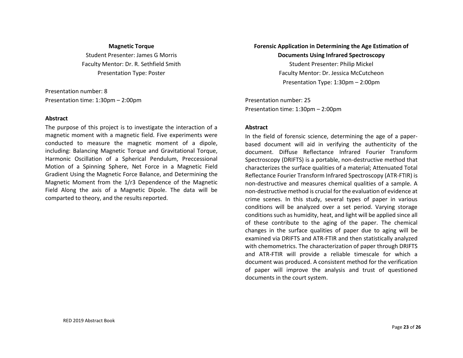#### **Magnetic Torque**

Student Presenter: James G Morris Faculty Mentor: Dr. R. Sethfield Smith Presentation Type: Poster

Presentation number: 8 Presentation time: 1:30pm – 2:00pm

#### **Abstract**

The purpose of this project is to investigate the interaction of a magnetic moment with a magnetic field. Five experiments were conducted to measure the magnetic moment of a dipole, including: Balancing Magnetic Torque and Gravitational Torque, Harmonic Oscillation of a Spherical Pendulum, Preccessional Motion of a Spinning Sphere, Net Force in a Magnetic Field Gradient Using the Magnetic Force Balance, and Determining the Magnetic Moment from the 1/r3 Dependence of the Magnetic Field Along the axis of a Magnetic Dipole. The data will be comparted to theory, and the results reported.

## **Forensic Application in Determining the Age Estimation of Documents Using Infrared Spectroscopy**  Student Presenter: Philip Mickel Faculty Mentor: Dr. Jessica McCutcheon Presentation Type: 1:30pm – 2:00pm

Presentation number: 25 Presentation time: 1:30pm – 2:00pm

#### **Abstract**

In the field of forensic science, determining the age of a paperbased document will aid in verifying the authenticity of the document. Diffuse Reflectance Infrared Fourier Transform Spectroscopy (DRIFTS) is a portable, non-destructive method that characterizes the surface qualities of a material; Attenuated Total Reflectance Fourier Transform Infrared Spectroscopy (ATR-FTIR) is non-destructive and measures chemical qualities of a sample. A non-destructive method is crucial for the evaluation of evidence at crime scenes. In this study, several types of paper in various conditions will be analyzed over a set period. Varying storage conditions such as humidity, heat, and light will be applied since all of these contribute to the aging of the paper. The chemical changes in the surface qualities of paper due to aging will be examined via DRIFTS and ATR-FTIR and then statistically analyzed with chemometrics. The characterization of paper through DRIFTS and ATR-FTIR will provide a reliable timescale for which a document was produced. A consistent method for the verification of paper will improve the analysis and trust of questioned documents in the court system.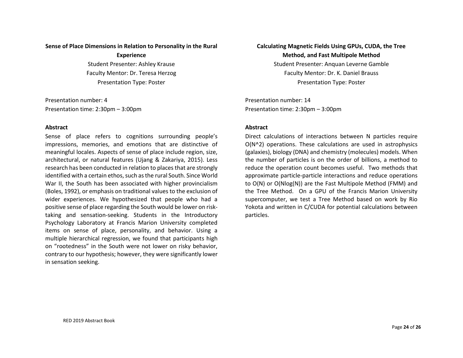#### **Sense of Place Dimensions in Relation to Personality in the Rural**

**Experience** 

Student Presenter: Ashley Krause Faculty Mentor: Dr. Teresa Herzog Presentation Type: Poster

Presentation number: 4 Presentation time: 2:30pm – 3:00pm

#### **Abstract**

Sense of place refers to cognitions surrounding people's impressions, memories, and emotions that are distinctive of meaningful locales. Aspects of sense of place include region, size, architectural, or natural features (Ujang & Zakariya, 2015). Less research has been conducted in relation to places that are strongly identified with a certain ethos, such as the rural South. Since World War II, the South has been associated with higher provincialism (Boles, 1992), or emphasis on traditional values to the exclusion of wider experiences. We hypothesized that people who had a positive sense of place regarding the South would be lower on risktaking and sensation-seeking. Students in the Introductory Psychology Laboratory at Francis Marion University completed items on sense of place, personality, and behavior. Using a multiple hierarchical regression, we found that participants high on "rootedness" in the South were not lower on risky behavior, contrary to our hypothesis; however, they were significantly lower in sensation seeking.

**Calculating Magnetic Fields Using GPUs, CUDA, the Tree Method, and Fast Multipole Method**  Student Presenter: Anquan Leverne Gamble Faculty Mentor: Dr. K. Daniel Brauss

Presentation Type: Poster

Presentation number: 14 Presentation time: 2:30pm – 3:00pm

#### **Abstract**

Direct calculations of interactions between N particles require O(N^2) operations. These calculations are used in astrophysics (galaxies), biology (DNA) and chemistry (molecules) models. When the number of particles is on the order of billions, a method to reduce the operation count becomes useful. Two methods that approximate particle-particle interactions and reduce operations to O(N) or O(Nlog(N)) are the Fast Multipole Method (FMM) and the Tree Method. On a GPU of the Francis Marion University supercomputer, we test a Tree Method based on work by Rio Yokota and written in C/CUDA for potential calculations between particles.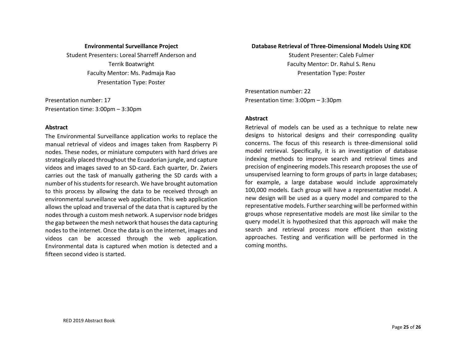#### **Environmental Surveillance Project**

Student Presenters: Loreal Sharreff Anderson and Terrik Boatwright Faculty Mentor: Ms. Padmaja Rao Presentation Type: Poster

Presentation number: 17 Presentation time: 3:00pm – 3:30pm

#### **Abstract**

The Environmental Surveillance application works to replace the manual retrieval of videos and images taken from Raspberry Pi nodes. These nodes, or miniature computers with hard drives are strategically placed throughout the Ecuadorian jungle, and capture videos and images saved to an SD-card. Each quarter, Dr. Zwiers carries out the task of manually gathering the SD cards with a number of his students for research. We have brought automation to this process by allowing the data to be received through an environmental surveillance web application. This web application allows the upload and traversal of the data that is captured by the nodes through a custom mesh network. A supervisor node bridges the gap between the mesh network that houses the data capturing nodes to the internet. Once the data is on the internet, images and videos can be accessed through the web application. Environmental data is captured when motion is detected and a fifteen second video is started.

#### **Database Retrieval of Three-Dimensional Models Using KDE**

Student Presenter: Caleb Fulmer Faculty Mentor: Dr. Rahul S. Renu Presentation Type: Poster

Presentation number: 22 Presentation time: 3:00pm – 3:30pm

#### **Abstract**

Retrieval of models can be used as a technique to relate new designs to historical designs and their corresponding quality concerns. The focus of this research is three-dimensional solid model retrieval. Specifically, it is an investigation of database indexing methods to improve search and retrieval times and precision of engineering models.This research proposes the use of unsupervised learning to form groups of parts in large databases; for example, a large database would include approximately 100,000 models. Each group will have a representative model. A new design will be used as a query model and compared to the representative models. Further searching will be performed within groups whose representative models are most like similar to the query model.It is hypothesized that this approach will make the search and retrieval process more efficient than existing approaches. Testing and verification will be performed in the coming months.